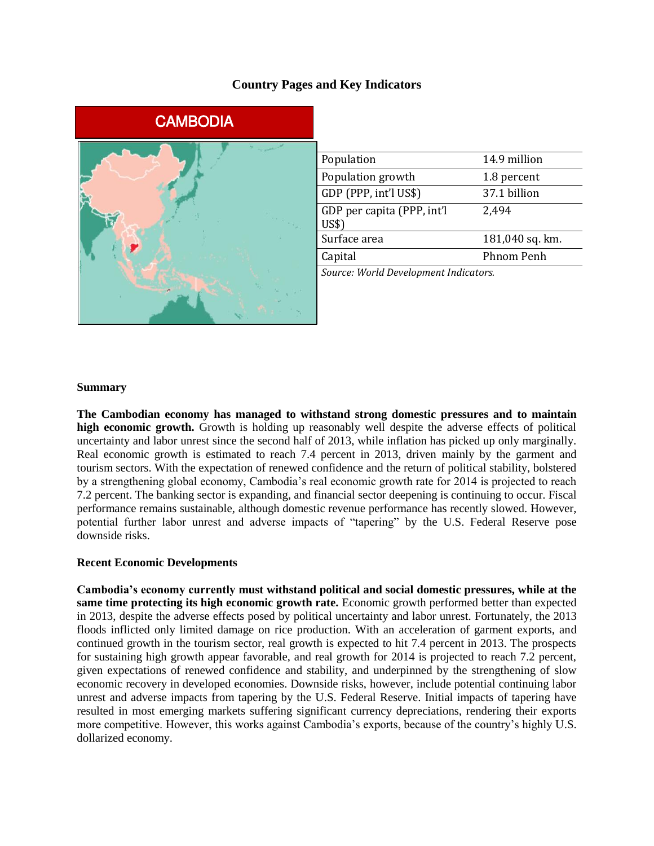## **Country Pages and Key Indicators**



| Population                            | 14.9 million    |  |  |  |
|---------------------------------------|-----------------|--|--|--|
| Population growth                     | 1.8 percent     |  |  |  |
| GDP (PPP, int'l US\$)                 | 37.1 billion    |  |  |  |
| GDP per capita (PPP, int'l            | 2,494           |  |  |  |
| US\$                                  |                 |  |  |  |
| Surface area                          | 181,040 sq. km. |  |  |  |
| Capital                               | Phnom Penh      |  |  |  |
| Source: World Development Indicators. |                 |  |  |  |

#### **Summary**

**The Cambodian economy has managed to withstand strong domestic pressures and to maintain high economic growth.** Growth is holding up reasonably well despite the adverse effects of political uncertainty and labor unrest since the second half of 2013, while inflation has picked up only marginally. Real economic growth is estimated to reach 7.4 percent in 2013, driven mainly by the garment and tourism sectors. With the expectation of renewed confidence and the return of political stability, bolstered by a strengthening global economy, Cambodia's real economic growth rate for 2014 is projected to reach 7.2 percent. The banking sector is expanding, and financial sector deepening is continuing to occur. Fiscal performance remains sustainable, although domestic revenue performance has recently slowed. However, potential further labor unrest and adverse impacts of "tapering" by the U.S. Federal Reserve pose downside risks.

#### **Recent Economic Developments**

**Cambodia's economy currently must withstand political and social domestic pressures, while at the same time protecting its high economic growth rate.** Economic growth performed better than expected in 2013, despite the adverse effects posed by political uncertainty and labor unrest. Fortunately, the 2013 floods inflicted only limited damage on rice production. With an acceleration of garment exports, and continued growth in the tourism sector, real growth is expected to hit 7.4 percent in 2013. The prospects for sustaining high growth appear favorable, and real growth for 2014 is projected to reach 7.2 percent, given expectations of renewed confidence and stability, and underpinned by the strengthening of slow economic recovery in developed economies. Downside risks, however, include potential continuing labor unrest and adverse impacts from tapering by the U.S. Federal Reserve. Initial impacts of tapering have resulted in most emerging markets suffering significant currency depreciations, rendering their exports more competitive. However, this works against Cambodia's exports, because of the country's highly U.S. dollarized economy.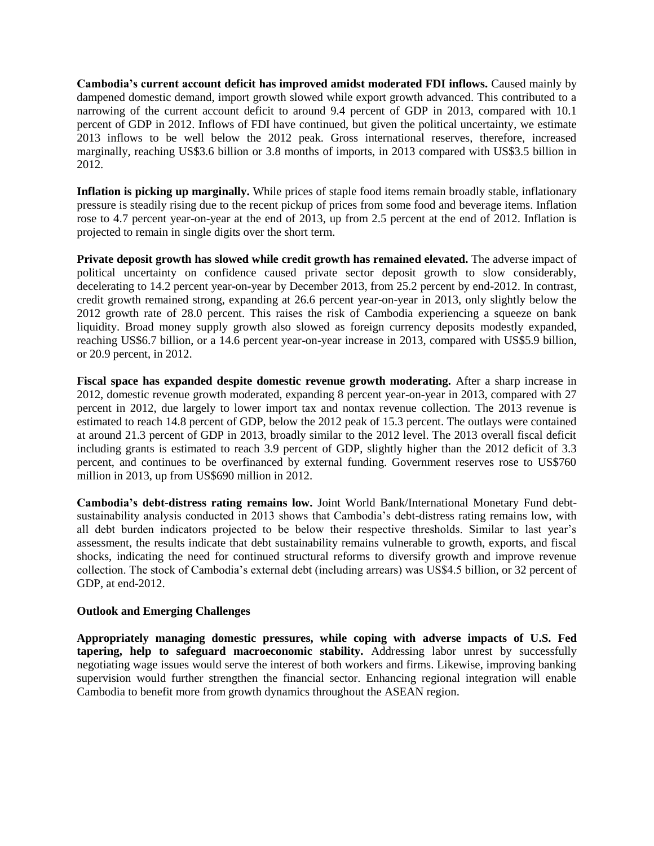**Cambodia's current account deficit has improved amidst moderated FDI inflows.** Caused mainly by dampened domestic demand, import growth slowed while export growth advanced. This contributed to a narrowing of the current account deficit to around 9.4 percent of GDP in 2013, compared with 10.1 percent of GDP in 2012. Inflows of FDI have continued, but given the political uncertainty, we estimate 2013 inflows to be well below the 2012 peak. Gross international reserves, therefore, increased marginally, reaching US\$3.6 billion or 3.8 months of imports, in 2013 compared with US\$3.5 billion in 2012.

**Inflation is picking up marginally.** While prices of staple food items remain broadly stable, inflationary pressure is steadily rising due to the recent pickup of prices from some food and beverage items. Inflation rose to 4.7 percent year-on-year at the end of 2013, up from 2.5 percent at the end of 2012. Inflation is projected to remain in single digits over the short term.

**Private deposit growth has slowed while credit growth has remained elevated.** The adverse impact of political uncertainty on confidence caused private sector deposit growth to slow considerably, decelerating to 14.2 percent year-on-year by December 2013, from 25.2 percent by end-2012. In contrast, credit growth remained strong, expanding at 26.6 percent year-on-year in 2013, only slightly below the 2012 growth rate of 28.0 percent. This raises the risk of Cambodia experiencing a squeeze on bank liquidity. Broad money supply growth also slowed as foreign currency deposits modestly expanded, reaching US\$6.7 billion, or a 14.6 percent year-on-year increase in 2013, compared with US\$5.9 billion, or 20.9 percent, in 2012.

**Fiscal space has expanded despite domestic revenue growth moderating.** After a sharp increase in 2012, domestic revenue growth moderated, expanding 8 percent year-on-year in 2013, compared with 27 percent in 2012, due largely to lower import tax and nontax revenue collection. The 2013 revenue is estimated to reach 14.8 percent of GDP, below the 2012 peak of 15.3 percent. The outlays were contained at around 21.3 percent of GDP in 2013, broadly similar to the 2012 level. The 2013 overall fiscal deficit including grants is estimated to reach 3.9 percent of GDP, slightly higher than the 2012 deficit of 3.3 percent, and continues to be overfinanced by external funding. Government reserves rose to US\$760 million in 2013, up from US\$690 million in 2012.

**Cambodia's debt-distress rating remains low.** Joint World Bank/International Monetary Fund debtsustainability analysis conducted in 2013 shows that Cambodia's debt-distress rating remains low, with all debt burden indicators projected to be below their respective thresholds. Similar to last year's assessment, the results indicate that debt sustainability remains vulnerable to growth, exports, and fiscal shocks, indicating the need for continued structural reforms to diversify growth and improve revenue collection. The stock of Cambodia's external debt (including arrears) was US\$4.5 billion, or 32 percent of GDP, at end-2012.

### **Outlook and Emerging Challenges**

**Appropriately managing domestic pressures, while coping with adverse impacts of U.S. Fed tapering, help to safeguard macroeconomic stability.** Addressing labor unrest by successfully negotiating wage issues would serve the interest of both workers and firms. Likewise, improving banking supervision would further strengthen the financial sector. Enhancing regional integration will enable Cambodia to benefit more from growth dynamics throughout the ASEAN region.